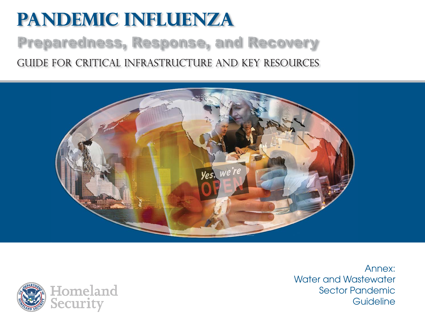# **Pandemic Influenza** Preparedness, Response, and Recovery Guide for critical infrastructure and key resources





Annex:Water and Wastewater Sector Pandemic **Guideline**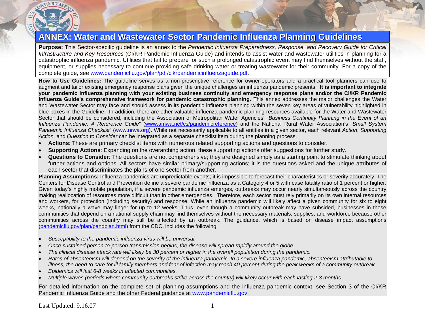

# **ANNEX: Water and Wastewater Sector Pandemic Influenza Planning Guidelines**

**Purpose:** This Sector-specific guideline is an annex to the *Pandemic Influenza Preparedness, Response, and Recovery Guide for Critical Infrastructure and Key Resources* (CI/KR Pandemic Influenza Guide) and intends to assist water and wastewater utilities in planning for a catastrophic influenza pandemic. Utilities that fail to prepare for such a prolonged catastrophic event may find themselves without the staff, equipment, or supplies necessary to continue providing safe drinking water or treating wastewater for their community. For a copy of the complete guide, see [www.pandemicflu.gov/plan/pdf/cikrpandemicinfluenzaguide.pdf](http://www.pandemicflu.gov/plan/pdf/cikrpandemicinfluenzaguide.pdf).

**How to Use Guidelines:** The guideline serves as a non-prescriptive reference for owner-operators and a practical tool planners can use to augment and tailor existing emergency response plans given the unique challenges an influenza pandemic presents. **It is important to integrate your pandemic influenza planning with your existing business continuity and emergency response plans and/or the CI/KR Pandemic Influenza Guide's comprehensive framework for pandemic catastrophic planning.** This annex addresses the major challenges the Water and Wastewater Sector may face and should assess in its pandemic influenza planning within the seven key areas of vulnerability highlighted in blue boxes in the Guideline. In addition, there are other valuable influenza pandemic planning resources available for the Water and Wastewater Sector that should be considered, including the Association of Metropolitan Water Agencies' "*Business Continuity Planning in the Event of an Influenza Pandemic: A Reference Guide*" ([www.amwa.net/cs/pandemicreference\)](http://www.amwa.net/cs/pandemicreference) and the National Rural Water Association's "*Small System Pandemic Influenza Checklist*" ([www.nrwa.org\)](http://www.nrwa.org/). While not necessarily applicable to all entities in a given sector, each relevant *Action*, *Supporting Action,* and *Question to Consider* can be integrated as a separate checklist item during the planning process.

- •**Actions**: These are primary checklist items with numerous related supporting actions and questions to consider.
- •**Supporting Actions**: Expanding on the overarching action, these supporting actions offer suggestions for further study.
- • **Questions to Consider**: The questions are not comprehensive; they are designed simply as a starting point to stimulate thinking about further actions and options. All sectors have similar primary/supporting actions; it is the questions asked and the unique attributes of each sector that discriminates the plans of one sector from another.

**Planning Assumptions:** Influenza pandemics are unpredictable events; it is impossible to forecast their characteristics or severity accurately. The Centers for Disease Control and Prevention define a severe pandemic influenza as a Category 4 or 5 with case fatality ratio of 1 percent or higher. Given today's highly mobile population, if a severe pandemic influenza emerges, outbreaks may occur nearly simultaneously across the country making reallocation of resources more difficult than in other emergencies. Therefore, each sector must rely primarily on its own internal resources and workers, for protection (including security) and response. While an influenza pandemic will likely affect a given community for six to eight weeks, nationally a wave may linger for up to 12 weeks. Thus, even though a community outbreak may have subsided, businesses in those communities that depend on a national supply chain may find themselves without the necessary materials, supplies, and workforce because other communities across the country may still be affected by an outbreak. The guidance, which is based on disease impact assumptions ([pandemicflu.gov/plan/pandplan.html](http://pandemicflu.gov/plan/pandplan.html)) from the CDC, includes the following:

- •*Susceptibility to the pandemic influenza virus will be universal.*
- •*Once sustained person-to-person transmission begins, the disease will spread rapidly around the globe.*
- •*The clinical disease attack rate will likely be 30 percent or higher in the overall population during the pandemic.*
- • *Rates of absenteeism will depend on the severity of the influenza pandemic. In a severe influenza pandemic, absenteeism attributable to illness, the need to care for ill family members and fear of infection may reach 40 percent during the peak weeks of a community outbreak.*
- •*Epidemics will last 6-8 weeks in affected communities.*
- •*Multiple waves (periods where community outbreaks strike across the country) will likely occur with each lasting 2-3 months*..

For detailed information on the complete set of planning assumptions and the influenza pandemic context, see Section 3 of the CI/KR Pandemic Influenza Guide and the other Federal guidance at [www.pandemicflu.gov](http://www.pandemicflu.gov/).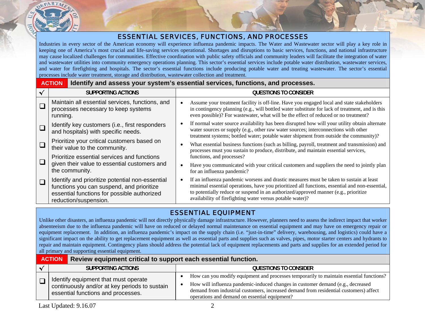

## ESSENTIAL SERVICES, FUNCTIONS, AND PROCESSES

Industries in every sector of the American economy will experience influenza pandemic impacts. The Water and Wastewater sector will play a key role in keeping one of America's most crucial and life-saving services operational. Shortages and disruptions to basic services, functions, and national infrastructure may cause localized challenges for communities. Effective coordination with public safety officials and community leaders will facilitate the integration of water and wastewater utilities into community emergency operations planning. This sector's essential services include potable water distribution, wastewater services, and water for firefighting and hospitals. The sector's essential functions include producing potable water and treating wastewater. The sector's essential processes include water treatment, storage and distribution, wastewater collection and treatment.

#### **ACTIONIdentify and assess your system's essential services, functions, and processes.**

| <b>SUPPORTING ACTIONS</b>                                                                                                                                            | <b>QUESTIONS TO CONSIDER</b>                                                                                                                                                                                                                                                                                                                  |
|----------------------------------------------------------------------------------------------------------------------------------------------------------------------|-----------------------------------------------------------------------------------------------------------------------------------------------------------------------------------------------------------------------------------------------------------------------------------------------------------------------------------------------|
| Maintain all essential services, functions, and<br>processes necessary to keep systems<br>running.                                                                   | Assume your treatment facility is off-line. Have you engaged local and state stakeholders<br>in contingency planning (e.g., will bottled water substitute for lack of treatment, and is this<br>even possible)? For wastewater, what will be the effect of reduced or no treatment?                                                           |
| Identify key customers (i.e., first responders<br>and hospitals) with specific needs.                                                                                | If normal water source availability has been disrupted how will your utility obtain alternate<br>water sources or supply (e.g., other raw water sources; interconnections with other<br>treatment systems; bottled water; potable water shipment from outside the community)?                                                                 |
| Prioritize your critical customers based on<br>their value to the community.                                                                                         | What essential business functions (such as billing, payroll, treatment and transmission) and<br>processes must you sustain to produce, distribute, and maintain essential services,                                                                                                                                                           |
| Prioritize essential services and functions                                                                                                                          | functions, and processes?                                                                                                                                                                                                                                                                                                                     |
| given their value to essential customers and<br>the community.                                                                                                       | Have you communicated with your critical customers and suppliers the need to jointly plan<br>for an influenza pandemic?                                                                                                                                                                                                                       |
| Identify and prioritize potential non-essential<br>functions you can suspend, and prioritize<br>essential functions for possible authorized<br>reduction/suspension. | If an influenza pandemic worsens and drastic measures must be taken to sustain at least<br>minimal essential operations, have you prioritized all functions, essential and non-essential,<br>to potentially reduce or suspend in an authorized/approved manner (e.g., prioritize<br>availability of firefighting water versus potable water)? |

#### ESSENTIAL EQUIPMENT

Unlike other disasters, an influenza pandemic will not directly physically damage infrastructure. However, planners need to assess the indirect impact that worker absenteeism due to the influenza pandemic will have on reduced or delayed normal maintenance on essential equipment and may have on emergency repair or equipment replacement. In addition, an influenza pandemic's impact on the supply chain (i.e. "just-in-time" delivery, warehousing, and logistics) could have a significant impact on the ability to get replacement equipment as well as essential parts and supplies such as valves, pipes, motor starter centers and hydrants to repair and maintain equipment. Contingency plans should address the potential lack of equipment replacements and parts and supplies for an extended period for all primary and supporting essential equipment.

| <b>ACTION</b><br>Review equipment critical to support each essential function.                                              |                                                                                                                                                                                                                                                                                                                      |
|-----------------------------------------------------------------------------------------------------------------------------|----------------------------------------------------------------------------------------------------------------------------------------------------------------------------------------------------------------------------------------------------------------------------------------------------------------------|
| SUPPORTING ACTIONS                                                                                                          | <b>QUESTIONS TO CONSIDER</b>                                                                                                                                                                                                                                                                                         |
| Identify equipment that must operate<br>continuously and/or at key periods to sustain<br>essential functions and processes. | How can you modify equipment and processes temporarily to maintain essential functions?<br>How will influenza pandemic-induced changes in customer demand (e.g., decreased<br>demand from industrial customers, increased demand from residential customers) affect<br>operations and demand on essential equipment? |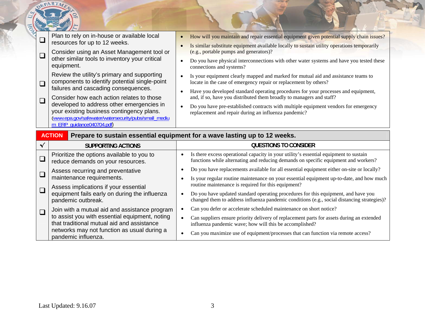|        | <b>EPARTA</b>                                                                                                                                                                                                                                                                                                                                                                                                                                                                                                                                                       |                                                                                                                                                                                                                                                                                                                                                                                                                                                                                                                                                                                                                                                                                                                                                                                                                                                             |
|--------|---------------------------------------------------------------------------------------------------------------------------------------------------------------------------------------------------------------------------------------------------------------------------------------------------------------------------------------------------------------------------------------------------------------------------------------------------------------------------------------------------------------------------------------------------------------------|-------------------------------------------------------------------------------------------------------------------------------------------------------------------------------------------------------------------------------------------------------------------------------------------------------------------------------------------------------------------------------------------------------------------------------------------------------------------------------------------------------------------------------------------------------------------------------------------------------------------------------------------------------------------------------------------------------------------------------------------------------------------------------------------------------------------------------------------------------------|
| $\Box$ | Plan to rely on in-house or available local<br>$\Box$<br>resources for up to 12 weeks.<br>Consider using an Asset Management tool or<br>other similar tools to inventory your critical<br>equipment.<br>Review the utility's primary and supporting<br>components to identify potential single-point<br>$\Box$<br>failures and cascading consequences.<br>Consider how each action relates to those<br>$\square$<br>developed to address other emergencies in<br>your existing business contingency plans.<br>(www.epa.gov/safewater/watersecurity/pubs/small_mediu | How will you maintain and repair essential equipment given potential supply chain issues?<br>Is similar substitute equipment available locally to sustain utility operations temporarily<br>(e.g., portable pumps and generators)?<br>Do you have physical interconnections with other water systems and have you tested these<br>connections and systems?<br>Is your equipment clearly mapped and marked for mutual aid and assistance teams to<br>$\bullet$<br>locate in the case of emergency repair or replacement by others?<br>Have you developed standard operating procedures for your processes and equipment,<br>$\bullet$<br>and, if so, have you distributed them broadly to managers and staff?<br>Do you have pre-established contracts with multiple equipment vendors for emergency<br>replacement and repair during an influenza pandemic? |
|        | m ERP quidance040704.pdf)<br><b>ACTION</b>                                                                                                                                                                                                                                                                                                                                                                                                                                                                                                                          | Prepare to sustain essential equipment for a wave lasting up to 12 weeks.                                                                                                                                                                                                                                                                                                                                                                                                                                                                                                                                                                                                                                                                                                                                                                                   |
|        | $\checkmark$<br><b>SUPPORTING ACTIONS</b>                                                                                                                                                                                                                                                                                                                                                                                                                                                                                                                           | <b>QUESTIONS TO CONSIDER</b>                                                                                                                                                                                                                                                                                                                                                                                                                                                                                                                                                                                                                                                                                                                                                                                                                                |
|        | Prioritize the options available to you to                                                                                                                                                                                                                                                                                                                                                                                                                                                                                                                          |                                                                                                                                                                                                                                                                                                                                                                                                                                                                                                                                                                                                                                                                                                                                                                                                                                                             |
|        | $\Box$<br>reduce demands on your resources.                                                                                                                                                                                                                                                                                                                                                                                                                                                                                                                         | Is there excess operational capacity in your utility's essential equipment to sustain<br>functions while alternating and reducing demands on specific equipment and workers?                                                                                                                                                                                                                                                                                                                                                                                                                                                                                                                                                                                                                                                                                |
| $\Box$ | Assess recurring and preventative<br>maintenance requirements.                                                                                                                                                                                                                                                                                                                                                                                                                                                                                                      | Do you have replacements available for all essential equipment either on-site or locally?<br>Is your regular routine maintenance on your essential equipment up-to-date, and how much                                                                                                                                                                                                                                                                                                                                                                                                                                                                                                                                                                                                                                                                       |
|        | Assess implications if your essential<br>$\Box$<br>equipment fails early on during the influenza<br>pandemic outbreak.                                                                                                                                                                                                                                                                                                                                                                                                                                              | routine maintenance is required for this equipment?<br>Do you have updated standard operating procedures for this equipment, and have you<br>changed them to address influenza pandemic conditions (e.g., social distancing strategies)?                                                                                                                                                                                                                                                                                                                                                                                                                                                                                                                                                                                                                    |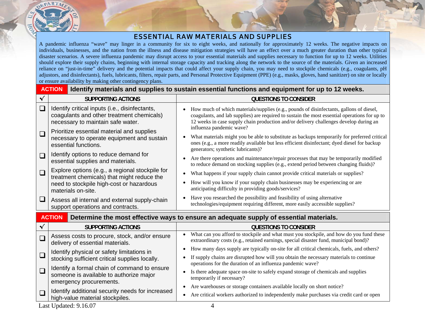#### ESSENTIAL RAW MATERIALS AND SUPPLIES

A pandemic influenza "wave" may linger in a community for six to eight weeks, and nationally for approximately 12 weeks. The negative impacts on individuals, businesses, and the nation from the illness and disease mitigation strategies will have an effect over a much greater duration than other typical disaster scenarios. A severe influenza pandemic may disrupt access to your essential materials and supplies necessary to function for up to 12 weeks. Utilities should explore their supply chains, beginning with internal storage capacity and tracking along the network to the source of the materials. Given an increased reliance on "just-in-time" delivery and the potential impacts that could affect your supply chain, you may need to stockpile chemicals (e.g., coagulants, pH adjustors, and disinfectants), fuels, lubricants, filters, repair parts, and Personal Protective Equipment (PPE) (e.g., masks, gloves, hand sanitizer) on site or locally or ensure availability by making other contingency plans.

|              | <b>ACTION</b>                                                                                                                                                   | Identify materials and supplies to sustain essential functions and equipment for up to 12 weeks.                                                                                                                                                                                                              |
|--------------|-----------------------------------------------------------------------------------------------------------------------------------------------------------------|---------------------------------------------------------------------------------------------------------------------------------------------------------------------------------------------------------------------------------------------------------------------------------------------------------------|
| $\checkmark$ | <b>SUPPORTING ACTIONS</b>                                                                                                                                       | <b>QUESTIONS TO CONSIDER</b>                                                                                                                                                                                                                                                                                  |
| $\Box$       | Identify critical inputs (i.e., disinfectants,<br>coagulants and other treatment chemicals)<br>necessary to maintain safe water.                                | How much of which materials/supplies (e.g., pounds of disinfectants, gallons of diesel,<br>coagulants, and lab supplies) are required to sustain the most essential operations for up to<br>12 weeks in case supply chain production and/or delivery challenges develop during an<br>influenza pandemic wave? |
| $\Box$       | Prioritize essential material and supplies<br>necessary to operate equipment and sustain<br>essential functions.                                                | What materials might you be able to substitute as backups temporarily for preferred critical<br>ones (e.g., a more readily available but less efficient disinfectant; dyed diesel for backup<br>generators; synthetic lubricants)?                                                                            |
| $\Box$       | Identify options to reduce demand for<br>essential supplies and materials.                                                                                      | Are there operations and maintenance/repair processes that may be temporarily modified<br>$\bullet$<br>to reduce demand on stocking supplies (e.g., extend period between changing fluids)?                                                                                                                   |
| $\Box$       | Explore options (e.g., a regional stockpile for<br>treatment chemicals) that might reduce the<br>need to stockpile high-cost or hazardous<br>materials on-site. | What happens if your supply chain cannot provide critical materials or supplies?<br>$\bullet$<br>How will you know if your supply chain businesses may be experiencing or are<br>anticipating difficulty in providing goods/services?                                                                         |
| $\sqcup$     | Assess all internal and external supply-chain<br>support operations and contracts.                                                                              | Have you researched the possibility and feasibility of using alternative<br>$\bullet$<br>technologies/equipment requiring different, more easily accessible supplies?                                                                                                                                         |
|              | <b>ACTION</b>                                                                                                                                                   | Determine the most effective ways to ensure an adequate supply of essential materials.                                                                                                                                                                                                                        |
| $\checkmark$ | <b>SUPPORTING ACTIONS</b>                                                                                                                                       | <b>QUESTIONS TO CONSIDER</b>                                                                                                                                                                                                                                                                                  |
| $\Box$       | Assess costs to procure, stock, and/or ensure<br>delivery of essential materials.                                                                               | What can you afford to stockpile and what must you stockpile, and how do you fund these<br>extraordinary costs (e.g., retained earnings, special disaster fund, municipal bond)?                                                                                                                              |
| $\Box$       | Identify physical or safety limitations in<br>stocking sufficient critical supplies locally.                                                                    | How many days supply are typically on-site for all critical chemicals, fuels, and others?<br>If supply chains are disrupted how will you obtain the necessary materials to continue<br>operations for the duration of an influenza pandemic wave?                                                             |
| $\Box$       | Identify a formal chain of command to ensure<br>someone is available to authorize major<br>emergency procurements.                                              | Is there adequate space on-site to safely expand storage of chemicals and supplies<br>$\bullet$<br>temporarily if necessary?                                                                                                                                                                                  |
| $\Box$       | Identify additional security needs for increased<br>high-value material stockpiles.                                                                             | Are warehouses or storage containers available locally on short notice?<br>$\bullet$<br>Are critical workers authorized to independently make purchases via credit card or open<br>$\bullet$                                                                                                                  |

Last Updated: 9.16.07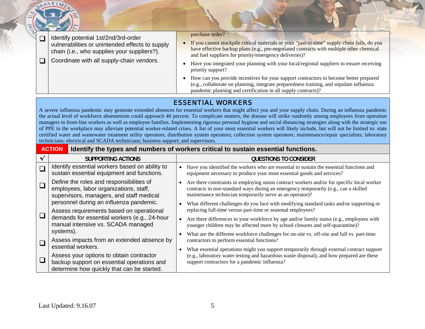|  | Identify potential 1st/2nd/3rd-order<br>vulnerabilities or unintended effects to supply<br>chain (i.e., who supplies your suppliers?). | purchase order?<br>• If you cannot stockpile critical materials or your "just-in-time" supply chain fails, do you<br>have effective backup plans (e.g., pre-negotiated contracts with multiple other chemical<br>and fuel suppliers for priority/emergency deliveries)? |
|--|----------------------------------------------------------------------------------------------------------------------------------------|-------------------------------------------------------------------------------------------------------------------------------------------------------------------------------------------------------------------------------------------------------------------------|
|  | Coordinate with all supply-chain vendors.                                                                                              | Have you integrated your planning with your local/regional suppliers to ensure receiving<br>priority support?<br>• How can you provide incentives for your support contractors to become better prepared                                                                |
|  |                                                                                                                                        | (e.g., collaborate on planning, integrate preparedness training, and stipulate influenza<br>pandemic planning and certification in all supply contracts)?                                                                                                               |

# ESSENTIAL WORKERS

A severe influenza pandemic may generate extended absences for essential workers that might affect you and your supply chain. During an influenza pandemic the actual level of workforce absenteeism could approach 40 percent. To complicate matters, the disease will strike randomly among employees from operation managers to front-line workers as well as employee families. Implementing rigorous personal hygiene and social distancing strategies along with the strategic use of PPE in the workplace may alleviate potential worker-related crises. A list of your most essential workers will likely include, but will not be limited to: state certified water and wastewater treatment utility operators; distribution system operators; collection system operators; maintenance/repair specialists; laboratory technicians; electrical and SCADA technicians; business support; and supervisors.

|        | <b>ACTION</b>                                                                                                                                              | Identify the types and numbers of workers critical to sustain essential functions.                                                                                                                                                                          |
|--------|------------------------------------------------------------------------------------------------------------------------------------------------------------|-------------------------------------------------------------------------------------------------------------------------------------------------------------------------------------------------------------------------------------------------------------|
|        | SUPPORTING ACTIONS                                                                                                                                         | QUESTIONS TO CONSIDER                                                                                                                                                                                                                                       |
| $\Box$ | Identify essential workers based on ability to<br>sustain essential equipment and functions.                                                               | Have you identified the workers who are essential to sustain the essential functions and<br>equipment necessary to produce your most essential goods and services?                                                                                          |
|        | Define the roles and responsibilities of<br>employees, labor organizations, staff,<br>supervisors, managers, and staff medical                             | Are there constraints in employing union contract workers and/or for specific local worker<br>$\bullet$<br>contracts in non-standard ways during an emergency temporarily (e.g., can a skilled<br>maintenance technician temporarily serve as an operator)? |
|        | personnel during an influenza pandemic.<br>Assess requirements based on operational                                                                        | What different challenges do you face with modifying standard tasks and/or supporting or<br>$\bullet$<br>replacing full-time versus part-time or seasonal employees?                                                                                        |
| $\Box$ | demands for essential workers (e.g., 24-hour<br>manual intensive vs. SCADA managed                                                                         | Are there differences in your workforce by age and/or family status (e.g., employees with<br>$\bullet$<br>younger children may be affected more by school closures and self-quarantine)?                                                                    |
|        | systems).<br>Assess impacts from an extended absence by                                                                                                    | What are the different workforce challenges for on-site vs. off-site and full vs. part-time<br>contractors to perform essential functions?                                                                                                                  |
|        | essential workers.<br>Assess your options to obtain contractor<br>backup support on essential operations and<br>determine how quickly that can be started. | What essential operations might you support temporarily through external contract support<br>$\bullet$<br>(e.g., laboratory water testing and hazardous waste disposal), and how prepared are these<br>support contractors for a pandemic influenza?        |

DEPARTME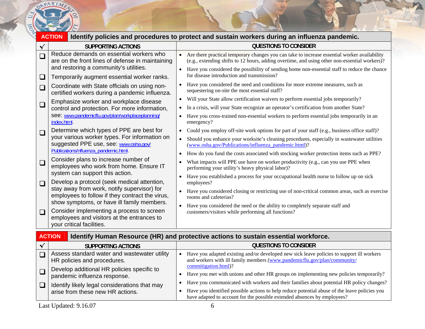

|        | <b>ACTION</b>                                                                                                                  |                        | Identify policies and procedures to protect and sustain workers during an influenza pandemic.                                                                                                 |
|--------|--------------------------------------------------------------------------------------------------------------------------------|------------------------|-----------------------------------------------------------------------------------------------------------------------------------------------------------------------------------------------|
|        | <b>SUPPORTING ACTIONS</b>                                                                                                      |                        | <b>QUESTIONS TO CONSIDER</b>                                                                                                                                                                  |
| $\Box$ | Reduce demands on essential workers who<br>are on the front lines of defense in maintaining                                    | $\bullet$              | Are there practical temporary changes you can take to increase essential worker availability<br>(e.g., extending shifts to 12 hours, adding overtime, and using other non-essential workers)? |
| $\Box$ | and restoring a community's utilities.<br>Temporarily augment essential worker ranks.                                          | $\bullet$              | Have you considered the possibility of sending home non-essential staff to reduce the chance<br>for disease introduction and transmission?                                                    |
| $\Box$ | Coordinate with State officials on using non-<br>certified workers during a pandemic influenza.                                |                        | Have you considered the need and conditions for more extreme measures, such as<br>sequestering on-site the most essential staff?                                                              |
|        | Emphasize worker and workplace disease                                                                                         | $\bullet$              | Will your State allow certification waivers to perform essential jobs temporarily?                                                                                                            |
| $\Box$ | control and protection. For more information,                                                                                  | $\bullet$              | In a crisis, will your State recognize an operator's certification from another State?                                                                                                        |
|        | see: www.pandemicflu.gov/plan/workplaceplanning/<br>index.html.                                                                | $\bullet$              | Have you cross-trained non-essential workers to perform essential jobs temporarily in an<br>emergency?                                                                                        |
| $\Box$ | Determine which types of PPE are best for                                                                                      | $\bullet$              | Could you employ off-site work options for part of your staff (e.g., business office staff)?                                                                                                  |
|        | your various worker types. For information on<br>suggested PPE use, see: www.osha.gov/<br>Publications/nfluenza pandemic.html. | $\bullet$              | Should you enhance your worksite's cleaning procedures, especially in wastewater utilities<br>(www.osha.gov/Publications/influenza_pandemic.html)?                                            |
|        |                                                                                                                                | $\bullet$              | How do you fund the costs associated with stocking worker protection items such as PPE?                                                                                                       |
| $\Box$ | Consider plans to increase number of<br>employees who work from home. Ensure IT                                                | $\bullet$              | What impacts will PPE use have on worker productivity (e.g., can you use PPE when<br>performing your utility's heavy physical labor)?                                                         |
| $\Box$ | system can support this action.<br>Develop a protocol (seek medical attention,                                                 | $\bullet$<br>$\bullet$ | Have you established a process for your occupational health nurse to follow up on sick<br>employees?                                                                                          |
|        | stay away from work, notify supervisor) for<br>employees to follow if they contract the virus,                                 |                        | Have you considered closing or restricting use of non-critical common areas, such as exercise<br>rooms and cafeterias?                                                                        |
|        | show symptoms, or have ill family members.                                                                                     | $\bullet$              | Have you considered the need or the ability to completely separate staff and                                                                                                                  |
| $\Box$ | Consider implementing a process to screen<br>employees and visitors at the entrances to<br>your critical facilities.           |                        | customers/visitors while performing all functions?                                                                                                                                            |
|        | <b>ACTION</b>                                                                                                                  |                        | <b>Identify Human Resource (HR) and protective actions to sustain essential workforce.</b>                                                                                                    |

| <b>SUPPORTING ACTIONS</b>                                                         | <b>QUESTIONS TO CONSIDER</b>                                                                                                                                                              |
|-----------------------------------------------------------------------------------|-------------------------------------------------------------------------------------------------------------------------------------------------------------------------------------------|
| Assess standard water and wastewater utility<br>HR policies and procedures.       | Have you adapted existing and/or developed new sick leave policies to support ill workers<br>and workers with ill family members (www.pandemicflu.gov/plan/community/                     |
| Develop additional HR policies specific to<br>pandemic influenza response.        | commitigation.html)?<br>Have you met with unions and other HR groups on implementing new policies temporarily?                                                                            |
| Identify likely legal considerations that may<br>arise from these new HR actions. | Have you communicated with workers and their families about potential HR policy changes?<br>Have you identified possible actions to help reduce potential abuse of the leave policies you |
|                                                                                   | have adapted to account for the possible extended absences by employees?                                                                                                                  |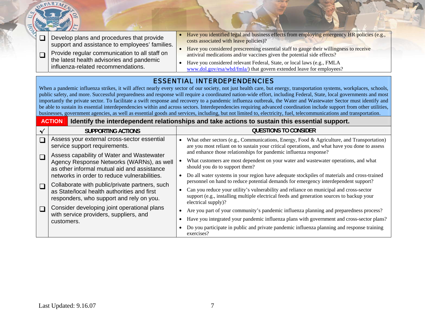| $\Box$<br>$\Box$ | Develop plans and procedures that provide<br>support and assistance to employees' families.<br>Provide regular communication to all staff on<br>the latest health advisories and pandemic<br>influenza-related recommendations. | Have you identified legal and business effects from employing emergency HR policies (e.g.,<br>costs associated with leave policies)?<br>• Have you considered prescreening essential staff to gauge their willingness to receive<br>antiviral medications and/or vaccines given the potential side effects?<br>Have you considered relevant Federal, State, or local laws (e.g., FMLA<br>$\bullet$<br>www.dol.gov/esa/whd/fmla/) that govern extended leave for employees?                                                                                                                                                                                                                                                                                                                                                                                                                        |
|------------------|---------------------------------------------------------------------------------------------------------------------------------------------------------------------------------------------------------------------------------|---------------------------------------------------------------------------------------------------------------------------------------------------------------------------------------------------------------------------------------------------------------------------------------------------------------------------------------------------------------------------------------------------------------------------------------------------------------------------------------------------------------------------------------------------------------------------------------------------------------------------------------------------------------------------------------------------------------------------------------------------------------------------------------------------------------------------------------------------------------------------------------------------|
|                  |                                                                                                                                                                                                                                 | <b>ESSENTIAL INTERDEPENDENCIES</b><br>When a pandemic influenza strikes, it will affect nearly every sector of our society, not just health care, but energy, transportation systems, workplaces, schools,<br>public safety, and more. Successful preparedness and response will require a coordinated nation-wide effort, including Federal, State, local governments and most<br>importantly the private sector. To facilitate a swift response and recovery to a pandemic influenza outbreak, the Water and Wastewater Sector must identify and<br>be able to sustain its essential interdependencies within and across sectors. Interdependencies requiring advanced coordination include support from other utilities,<br>businesses, government agencies, as well as essential goods and services, including, but not limited to, electricity, fuel, telecommunications and transportation. |
|                  | <b>ACTION</b>                                                                                                                                                                                                                   | Identify the interdependent relationships and take actions to sustain this essential support.                                                                                                                                                                                                                                                                                                                                                                                                                                                                                                                                                                                                                                                                                                                                                                                                     |
| $\checkmark$     | <b>SUPPORTING ACTIONS</b>                                                                                                                                                                                                       | <b>QUESTIONS TO CONSIDER</b>                                                                                                                                                                                                                                                                                                                                                                                                                                                                                                                                                                                                                                                                                                                                                                                                                                                                      |
| $\Box$           | Assess your external cross-sector essential<br>service support requirements.                                                                                                                                                    | What other sectors (e.g., Communications, Energy, Food & Agriculture, and Transportation)<br>are you most reliant on to sustain your critical operations, and what have you done to assess<br>and enhance those relationships for pandemic influenza response?                                                                                                                                                                                                                                                                                                                                                                                                                                                                                                                                                                                                                                    |
| $\Box$           | Assess capability of Water and Wastewater<br>Agency Response Networks (WARNs), as well<br>as other informal mutual aid and assistance<br>networks in order to reduce vulnerabilities.                                           | What customers are most dependent on your water and wastewater operations, and what<br>should you do to support them?<br>Do all water systems in your region have adequate stockpiles of materials and cross-trained                                                                                                                                                                                                                                                                                                                                                                                                                                                                                                                                                                                                                                                                              |
| $\Box$           | Collaborate with public/private partners, such<br>as State/local health authorities and first<br>responders, who support and rely on you.                                                                                       | personnel on hand to reduce potential demands for emergency interdependent support?<br>Can you reduce your utility's vulnerability and reliance on municipal and cross-sector<br>support (e.g., installing multiple electrical feeds and generation sources to backup your<br>electrical supply)?                                                                                                                                                                                                                                                                                                                                                                                                                                                                                                                                                                                                 |
| $\Box$           | Consider developing joint operational plans<br>with service providers, suppliers, and<br>customers.                                                                                                                             | Are you part of your community's pandemic influenza planning and preparedness process?<br>$\bullet$<br>Have you integrated your pandemic influenza plans with government and cross-sector plans?<br>Do you participate in public and private pandemic influenza planning and response training<br>exercises?                                                                                                                                                                                                                                                                                                                                                                                                                                                                                                                                                                                      |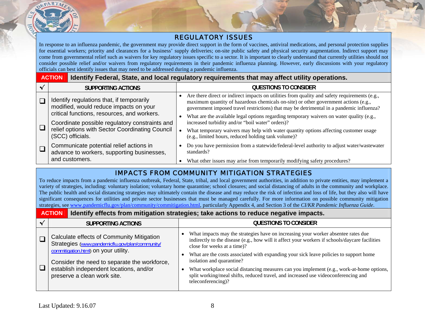

#### REGULATORY ISSUES

In response to an influenza pandemic, the government may provide direct support in the form of vaccines, antiviral medications, and personal protection supplies for essential workers; priority and clearances for a business' supply deliveries; on-site public safety and physical security augmentation. Indirect support may come from governmental relief such as waivers for key regulatory issues specific to a sector. It is important to clearly understand that currently utilities should not consider possible relief and/or waivers from regulatory requirements in their pandemic influenza planning. However, early discussions with your regulatory officials can best identify issues that may need to be addressed during a pandemic influenza.

#### **ACTIONIdentify Federal, State, and local regulatory requirements that may affect utility operations.**

| SUPPORTING ACTIONS                                                                                                                 | <b>QUESTIONS TO CONSIDER</b>                                                                                                                                                                                                                                                                |
|------------------------------------------------------------------------------------------------------------------------------------|---------------------------------------------------------------------------------------------------------------------------------------------------------------------------------------------------------------------------------------------------------------------------------------------|
| Identify regulations that, if temporarily<br>modified, would reduce impacts on your<br>critical functions, resources, and workers. | Are there direct or indirect impacts on utilities from quality and safety requirements (e.g.,<br>maximum quantity of hazardous chemicals on-site) or other government actions (e.g.,<br>government imposed travel restrictions) that may be detrimental in a pandemic influenza?            |
| Coordinate possible regulatory constraints and<br>relief options with Sector Coordinating Council<br>(SCC) officials.              | What are the available legal options regarding temporary waivers on water quality (e.g.,<br>increased turbidity and/or "boil water" orders)?<br>What temporary waivers may help with water quantity options affecting customer usage<br>(e.g., limited hours, reduced holding tank volume)? |
| Communicate potential relief actions in<br>advance to workers, supporting businesses,<br>and customers.                            | Do you have permission from a statewide/federal-level authority to adjust water/wastewater<br>standards?<br>What other issues may arise from temporarily modifying safety procedures?                                                                                                       |

## IMPACTS FROM COMMUNITY MITIGATION STRATEGIES

To reduce impacts from a pandemic influenza outbreak, Federal, State, tribal, and local government authorities, in addition to private entities, may implement a variety of strategies, including: voluntary isolation; voluntary home quarantine; school closures; and social distancing of adults in the community and workplace. The public health and social distancing strategies may ultimately contain the disease and may reduce the risk of infection and loss of life, but they also will have significant consequences for utilities and private sector businesses that must be managed carefully. For more information on possible community mitigation strategies, see [www.pandemicflu.gov/plan/community/commitigation.html](http://www.pandemicflu.gov/plan/community/commitigation.html), particularly Appendix 4, and Section 3 of the *CI/KR Pandemic Influenza Guide*.

#### **ACTIONIdentify effects from mitigation strategies; take actions to reduce negative impacts.**

| SUPPORTING ACTIONS                                                                                                                   | QUESTIONS TO CONSIDER                                                                                                                                                                                                                                                                                       |
|--------------------------------------------------------------------------------------------------------------------------------------|-------------------------------------------------------------------------------------------------------------------------------------------------------------------------------------------------------------------------------------------------------------------------------------------------------------|
| Calculate effects of Community Mitigation<br>Strategies (www.pandemicflu.gov/plan/community/<br>commitigation.html) on your utility. | What impacts may the strategies have on increasing your worker absentee rates due<br>indirectly to the disease (e.g., how will it affect your workers if schools/daycare facilities<br>close for weeks at a time)?<br>What are the costs associated with expanding your sick leave policies to support home |
| Consider the need to separate the workforce,<br>establish independent locations, and/or<br>preserve a clean work site.               | isolation and quarantine?<br>What workplace social distancing measures can you implement (e.g., work-at-home options,<br>split working/meal shifts, reduced travel, and increased use videoconferencing and<br>teleconferencing)?                                                                           |